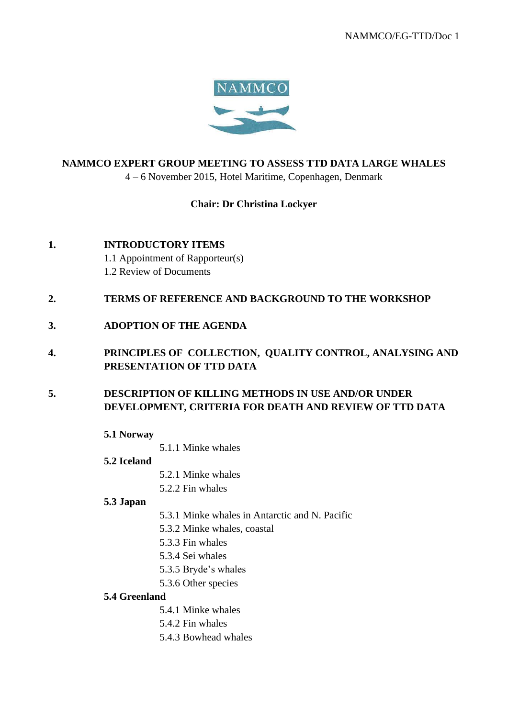

# **NAMMCO EXPERT GROUP MEETING TO ASSESS TTD DATA LARGE WHALES**

4 – 6 November 2015, Hotel Maritime, Copenhagen, Denmark

# **Chair: Dr Christina Lockyer**

- **1. INTRODUCTORY ITEMS**  1.1 Appointment of Rapporteur(s) 1.2 Review of Documents
- **2. TERMS OF REFERENCE AND BACKGROUND TO THE WORKSHOP**
- **3. ADOPTION OF THE AGENDA**
- **4. PRINCIPLES OF COLLECTION, QUALITY CONTROL, ANALYSING AND PRESENTATION OF TTD DATA**
- **5. DESCRIPTION OF KILLING METHODS IN USE AND/OR UNDER DEVELOPMENT, CRITERIA FOR DEATH AND REVIEW OF TTD DATA** 
	- **5.1 Norway**
		- 5.1.1 Minke whales
	- **5.2 Iceland**
- 5.2.1 Minke whales
- 5.2.2 Fin whales

# **5.3 Japan**

- 5.3.1 Minke whales in Antarctic and N. Pacific
- 5.3.2 Minke whales, coastal
- 5.3.3 Fin whales
- 5.3.4 Sei whales
- 5.3.5 Bryde's whales
- 5.3.6 Other species

#### **5.4 Greenland**

- 5.4.1 Minke whales
- 5.4.2 Fin whales
- 5.4.3 Bowhead whales